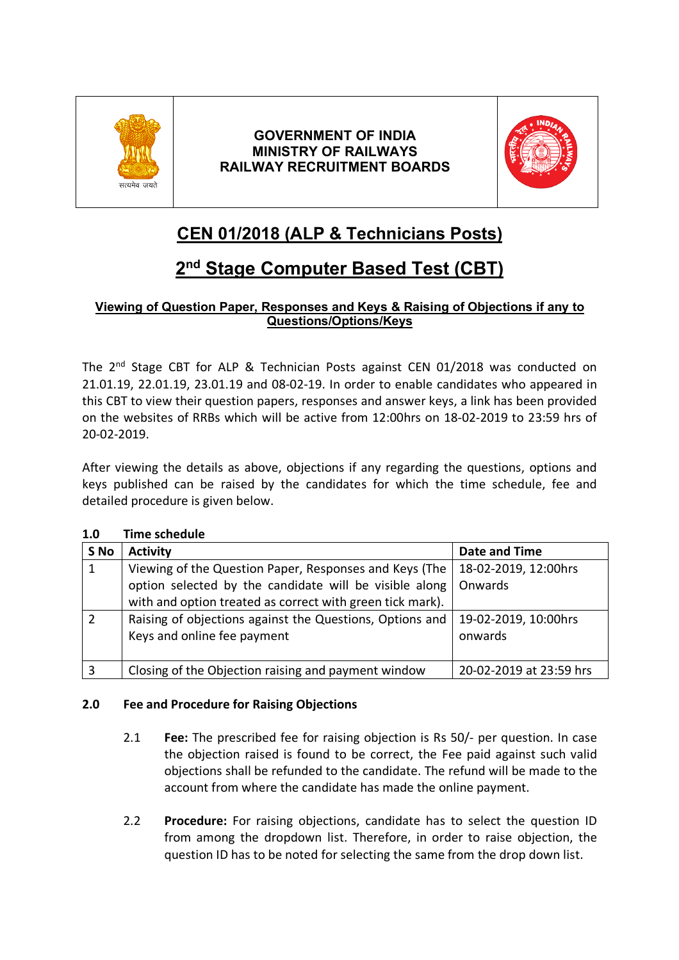

## **GOVERNMENT OF INDIA MINISTRY OF RAILWAYS RAILWAY RECRUITMENT BOARDS**



# **CEN 01/2018 (ALP & Technicians Posts)**

# **2nd Stage Computer Based Test (CBT)**

### **Viewing of Question Paper, Responses and Keys & Raising of Objections if any to Questions/Options/Keys**

The 2<sup>nd</sup> Stage CBT for ALP & Technician Posts against CEN 01/2018 was conducted on 21.01.19, 22.01.19, 23.01.19 and 08-02-19. In order to enable candidates who appeared in this CBT to view their question papers, responses and answer keys, a link has been provided on the websites of RRBs which will be active from 12:00hrs on 18-02-2019 to 23:59 hrs of 20-02-2019.

After viewing the details as above, objections if any regarding the questions, options and keys published can be raised by the candidates for which the time schedule, fee and detailed procedure is given below.

| 1.U           | TIME SURGUME                                              |                         |
|---------------|-----------------------------------------------------------|-------------------------|
| S No          | <b>Activity</b>                                           | <b>Date and Time</b>    |
| 1             | Viewing of the Question Paper, Responses and Keys (The    | 18-02-2019, 12:00hrs    |
|               | option selected by the candidate will be visible along    | Onwards                 |
|               | with and option treated as correct with green tick mark). |                         |
| $\mathcal{P}$ | Raising of objections against the Questions, Options and  | 19-02-2019, 10:00hrs    |
|               | Keys and online fee payment                               | onwards                 |
|               |                                                           |                         |
| 3             | Closing of the Objection raising and payment window       | 20-02-2019 at 23:59 hrs |

### **1.0 Time schedule**

#### **2.0 Fee and Procedure for Raising Objections**

- 2.1 **Fee:** The prescribed fee for raising objection is Rs 50/- per question. In case the objection raised is found to be correct, the Fee paid against such valid objections shall be refunded to the candidate. The refund will be made to the account from where the candidate has made the online payment.
- 2.2 **Procedure:** For raising objections, candidate has to select the question ID from among the dropdown list. Therefore, in order to raise objection, the question ID has to be noted for selecting the same from the drop down list.